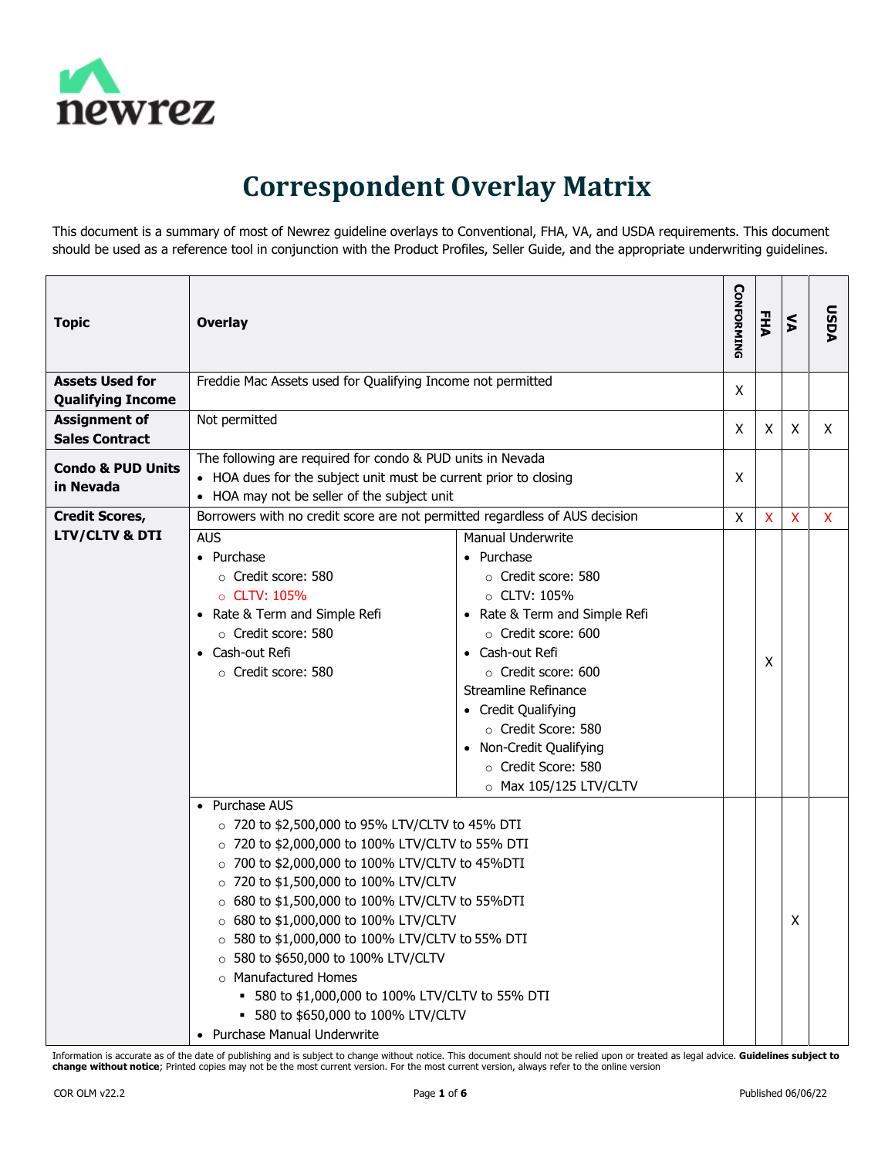

## **Correspondent Overlay Matrix**

This document is a summary of most of Newrez guideline overlays to Conventional, FHA, VA, and USDA requirements. This document should be used as a reference tool in conjunction with the Product Profiles, Seller Guide, and the appropriate underwriting guidelines.

| <b>Topic</b>                                       | <b>Overlay</b>                                                                                                                                                                                                                                                                                                                                                                                                                                                                                                                                                        |                                                                                                                                                                                                                                                                                                                                        | <b>CONFORMING</b> | FHA                       | $\leq$ | <b>DSDA</b>  |
|----------------------------------------------------|-----------------------------------------------------------------------------------------------------------------------------------------------------------------------------------------------------------------------------------------------------------------------------------------------------------------------------------------------------------------------------------------------------------------------------------------------------------------------------------------------------------------------------------------------------------------------|----------------------------------------------------------------------------------------------------------------------------------------------------------------------------------------------------------------------------------------------------------------------------------------------------------------------------------------|-------------------|---------------------------|--------|--------------|
| <b>Assets Used for</b><br><b>Qualifying Income</b> | Freddie Mac Assets used for Qualifying Income not permitted                                                                                                                                                                                                                                                                                                                                                                                                                                                                                                           |                                                                                                                                                                                                                                                                                                                                        | X                 |                           |        |              |
| <b>Assignment of</b><br><b>Sales Contract</b>      | Not permitted                                                                                                                                                                                                                                                                                                                                                                                                                                                                                                                                                         |                                                                                                                                                                                                                                                                                                                                        | X                 | X                         | X      | X.           |
| <b>Condo &amp; PUD Units</b><br>in Nevada          | The following are required for condo & PUD units in Nevada<br>• HOA dues for the subject unit must be current prior to closing<br>• HOA may not be seller of the subject unit                                                                                                                                                                                                                                                                                                                                                                                         |                                                                                                                                                                                                                                                                                                                                        | X                 |                           |        |              |
| <b>Credit Scores,</b>                              | Borrowers with no credit score are not permitted regardless of AUS decision                                                                                                                                                                                                                                                                                                                                                                                                                                                                                           |                                                                                                                                                                                                                                                                                                                                        | X                 | $\boldsymbol{\mathsf{X}}$ | X      | $\mathsf{X}$ |
| <b>LTV/CLTV &amp; DTI</b>                          | <b>AUS</b><br>• Purchase<br>○ Credit score: 580<br>○ CLTV: 105%<br>• Rate & Term and Simple Refi<br>o Credit score: 580<br>• Cash-out Refi<br>○ Credit score: 580                                                                                                                                                                                                                                                                                                                                                                                                     | Manual Underwrite<br>• Purchase<br>○ Credit score: 580<br>$\circ$ CLTV: 105%<br>• Rate & Term and Simple Refi<br>○ Credit score: 600<br>• Cash-out Refi<br>○ Credit score: 600<br>Streamline Refinance<br>• Credit Qualifying<br>○ Credit Score: 580<br>• Non-Credit Qualifying<br>○ Credit Score: 580<br>$\circ$ Max 105/125 LTV/CLTV |                   | X                         |        |              |
|                                                    | • Purchase AUS<br>$\circ$ 720 to \$2,500,000 to 95% LTV/CLTV to 45% DTI<br>○ 720 to \$2,000,000 to 100% LTV/CLTV to 55% DTI<br>○ 700 to \$2,000,000 to 100% LTV/CLTV to 45%DTI<br>○ 720 to \$1,500,000 to 100% LTV/CLTV<br>○ 680 to \$1,500,000 to 100% LTV/CLTV to 55%DTI<br>$\circ$ 680 to \$1,000,000 to 100% LTV/CLTV<br>○ 580 to \$1,000,000 to 100% LTV/CLTV to 55% DTI<br>○ 580 to \$650,000 to 100% LTV/CLTV<br>o Manufactured Homes<br>580 to \$1,000,000 to 100% LTV/CLTV to 55% DTI<br>■ 580 to \$650,000 to 100% LTV/CLTV<br>• Purchase Manual Underwrite |                                                                                                                                                                                                                                                                                                                                        |                   |                           | X      |              |

Information is accurate as of the date of publishing and is subject to change without notice. This document should not be relied upon or treated as legal advice. **Guidelines subject to change without notice**; Printed copies may not be the most current version. For the most current version, always refer to the online version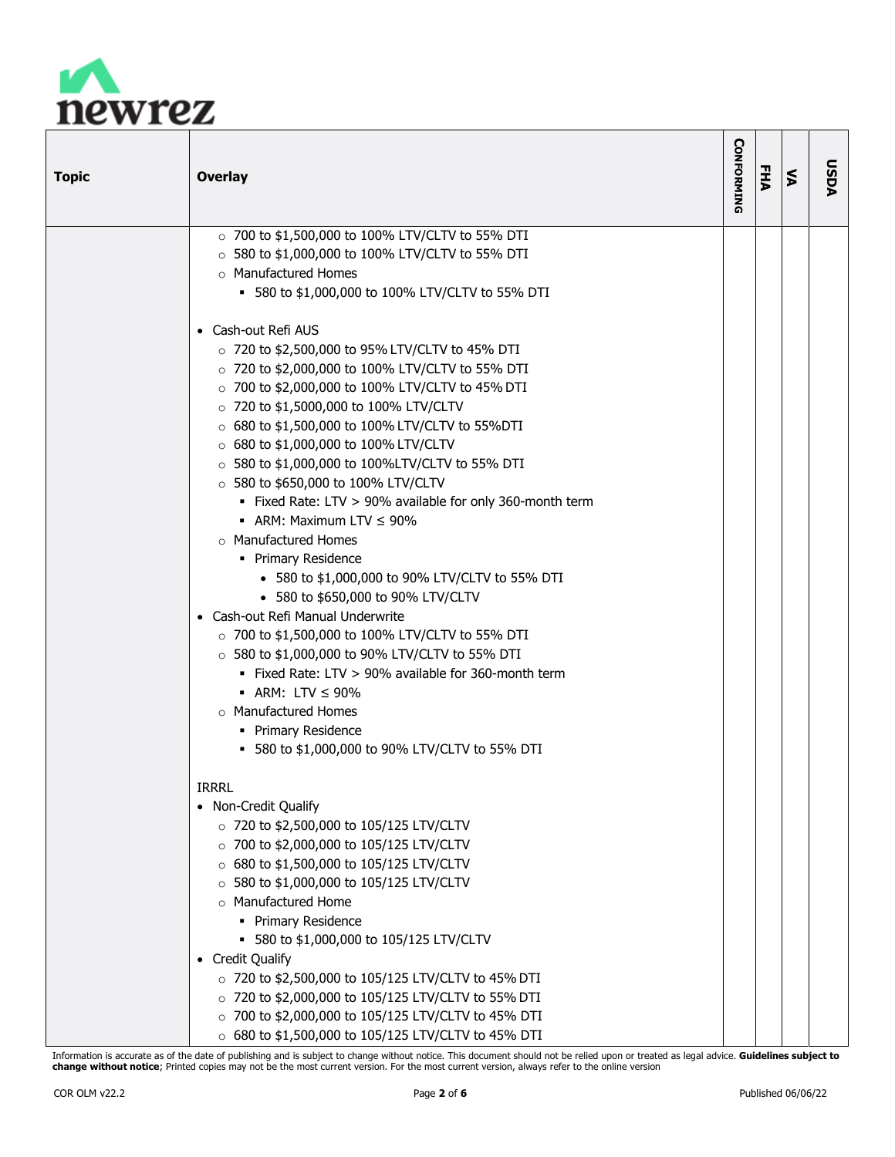

| <b>Topic</b> | <b>Overlay</b>                                            | <b>CONFORMING</b> | <b>FHA</b> | $\leq$ | <b>AGSU</b> |
|--------------|-----------------------------------------------------------|-------------------|------------|--------|-------------|
|              | ○ 700 to \$1,500,000 to 100% LTV/CLTV to 55% DTI          |                   |            |        |             |
|              | $\circ$ 580 to \$1,000,000 to 100% LTV/CLTV to 55% DTI    |                   |            |        |             |
|              | o Manufactured Homes                                      |                   |            |        |             |
|              | ■ 580 to \$1,000,000 to 100% LTV/CLTV to 55% DTI          |                   |            |        |             |
|              | • Cash-out Refi AUS                                       |                   |            |        |             |
|              | $\circ$ 720 to \$2,500,000 to 95% LTV/CLTV to 45% DTI     |                   |            |        |             |
|              | $\circ$ 720 to \$2,000,000 to 100% LTV/CLTV to 55% DTI    |                   |            |        |             |
|              | ○ 700 to \$2,000,000 to 100% LTV/CLTV to 45% DTI          |                   |            |        |             |
|              | ○ 720 to \$1,5000,000 to 100% LTV/CLTV                    |                   |            |        |             |
|              | ○ 680 to \$1,500,000 to 100% LTV/CLTV to 55%DTI           |                   |            |        |             |
|              | ○ 680 to \$1,000,000 to 100% LTV/CLTV                     |                   |            |        |             |
|              | $\circ$ 580 to \$1,000,000 to 100%LTV/CLTV to 55% DTI     |                   |            |        |             |
|              | $\circ$ 580 to \$650,000 to 100% LTV/CLTV                 |                   |            |        |             |
|              | . Fixed Rate: LTV > 90% available for only 360-month term |                   |            |        |             |
|              | • ARM: Maximum LTV $\leq 90\%$                            |                   |            |        |             |
|              | o Manufactured Homes                                      |                   |            |        |             |
|              | • Primary Residence                                       |                   |            |        |             |
|              | • 580 to \$1,000,000 to 90% LTV/CLTV to 55% DTI           |                   |            |        |             |
|              | • 580 to \$650,000 to 90% LTV/CLTV                        |                   |            |        |             |
|              | • Cash-out Refi Manual Underwrite                         |                   |            |        |             |
|              | $\circ$ 700 to \$1,500,000 to 100% LTV/CLTV to 55% DTI    |                   |            |        |             |
|              | $\circ$ 580 to \$1,000,000 to 90% LTV/CLTV to 55% DTI     |                   |            |        |             |
|              | . Fixed Rate: LTV > 90% available for 360-month term      |                   |            |        |             |
|              | $\blacksquare$ ARM: LTV $\leq$ 90%                        |                   |            |        |             |
|              | o Manufactured Homes                                      |                   |            |        |             |
|              | • Primary Residence                                       |                   |            |        |             |
|              | ■ 580 to \$1,000,000 to 90% LTV/CLTV to 55% DTI           |                   |            |        |             |
|              | <b>IRRRL</b>                                              |                   |            |        |             |
|              | • Non-Credit Qualify                                      |                   |            |        |             |
|              | ○ 720 to \$2,500,000 to 105/125 LTV/CLTV                  |                   |            |        |             |
|              | $\circ$ 700 to \$2,000,000 to 105/125 LTV/CLTV            |                   |            |        |             |
|              | $\circ$ 680 to \$1,500,000 to 105/125 LTV/CLTV            |                   |            |        |             |
|              | $\circ$ 580 to \$1,000,000 to 105/125 LTV/CLTV            |                   |            |        |             |
|              | o Manufactured Home                                       |                   |            |        |             |
|              | • Primary Residence                                       |                   |            |        |             |
|              | ■ 580 to \$1,000,000 to 105/125 LTV/CLTV                  |                   |            |        |             |
|              | • Credit Qualify                                          |                   |            |        |             |
|              | $\circ$ 720 to \$2,500,000 to 105/125 LTV/CLTV to 45% DTI |                   |            |        |             |
|              | $\circ$ 720 to \$2,000,000 to 105/125 LTV/CLTV to 55% DTI |                   |            |        |             |
|              | ○ 700 to \$2,000,000 to 105/125 LTV/CLTV to 45% DTI       |                   |            |        |             |
|              | $\circ$ 680 to \$1,500,000 to 105/125 LTV/CLTV to 45% DTI |                   |            |        |             |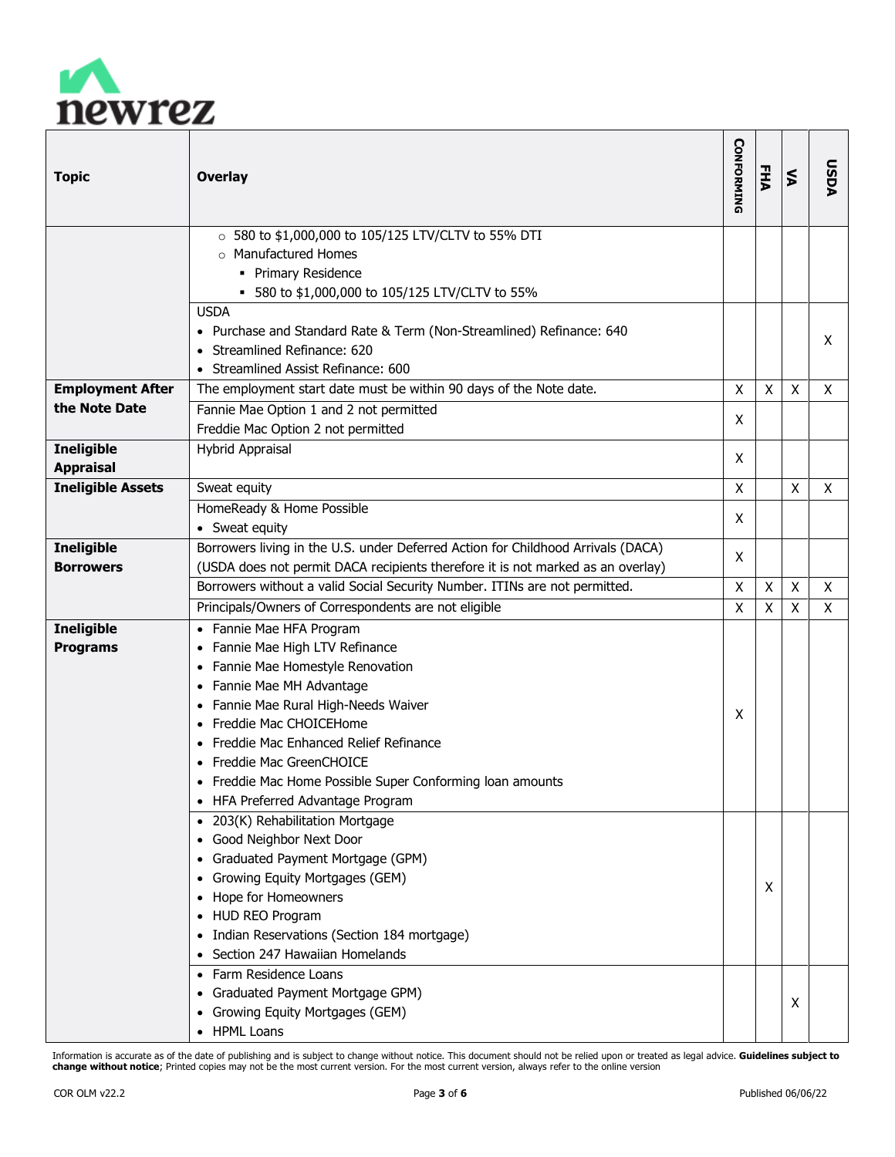

| <b>Topic</b>             | <b>Overlay</b>                                                                                                                                             | <b>CONFORMING</b> | <b>FHA</b> | <b>S</b> | DSDA |
|--------------------------|------------------------------------------------------------------------------------------------------------------------------------------------------------|-------------------|------------|----------|------|
|                          | ○ 580 to \$1,000,000 to 105/125 LTV/CLTV to 55% DTI<br>o Manufactured Homes<br>• Primary Residence<br>■ 580 to \$1,000,000 to 105/125 LTV/CLTV to 55%      |                   |            |          |      |
|                          | <b>USDA</b><br>• Purchase and Standard Rate & Term (Non-Streamlined) Refinance: 640<br>• Streamlined Refinance: 620<br>• Streamlined Assist Refinance: 600 |                   |            |          | X    |
| <b>Employment After</b>  | The employment start date must be within 90 days of the Note date.                                                                                         | Χ                 | Χ          | X        | X    |
| the Note Date            | Fannie Mae Option 1 and 2 not permitted                                                                                                                    | X                 |            |          |      |
|                          | Freddie Mac Option 2 not permitted                                                                                                                         |                   |            |          |      |
| <b>Ineligible</b>        | <b>Hybrid Appraisal</b>                                                                                                                                    | X                 |            |          |      |
| <b>Appraisal</b>         |                                                                                                                                                            |                   |            |          |      |
| <b>Ineligible Assets</b> | Sweat equity                                                                                                                                               | X                 |            | X        | X    |
|                          | HomeReady & Home Possible                                                                                                                                  | X                 |            |          |      |
|                          | • Sweat equity                                                                                                                                             |                   |            |          |      |
| <b>Ineligible</b>        | Borrowers living in the U.S. under Deferred Action for Childhood Arrivals (DACA)                                                                           | X                 |            |          |      |
| <b>Borrowers</b>         | (USDA does not permit DACA recipients therefore it is not marked as an overlay)                                                                            |                   |            |          |      |
|                          | Borrowers without a valid Social Security Number. ITINs are not permitted.                                                                                 | χ                 | Χ          | X        | X    |
|                          | Principals/Owners of Correspondents are not eligible                                                                                                       | Χ                 | Χ          | X        | X    |
| <b>Ineligible</b>        | • Fannie Mae HFA Program                                                                                                                                   |                   |            |          |      |
| <b>Programs</b>          | Fannie Mae High LTV Refinance                                                                                                                              |                   |            |          |      |
|                          | • Fannie Mae Homestyle Renovation                                                                                                                          |                   |            |          |      |
|                          | • Fannie Mae MH Advantage                                                                                                                                  |                   |            |          |      |
|                          | • Fannie Mae Rural High-Needs Waiver<br>Freddie Mac CHOICEHome                                                                                             | X                 |            |          |      |
|                          | • Freddie Mac Enhanced Relief Refinance                                                                                                                    |                   |            |          |      |
|                          | • Freddie Mac GreenCHOICE                                                                                                                                  |                   |            |          |      |
|                          | • Freddie Mac Home Possible Super Conforming Ioan amounts                                                                                                  |                   |            |          |      |
|                          | • HFA Preferred Advantage Program                                                                                                                          |                   |            |          |      |
|                          | • 203(K) Rehabilitation Mortgage                                                                                                                           |                   |            |          |      |
|                          | • Good Neighbor Next Door                                                                                                                                  |                   |            |          |      |
|                          | • Graduated Payment Mortgage (GPM)                                                                                                                         |                   |            |          |      |
|                          | • Growing Equity Mortgages (GEM)                                                                                                                           |                   |            |          |      |
|                          | • Hope for Homeowners                                                                                                                                      |                   | Χ          |          |      |
|                          | • HUD REO Program                                                                                                                                          |                   |            |          |      |
|                          | • Indian Reservations (Section 184 mortgage)                                                                                                               |                   |            |          |      |
|                          | • Section 247 Hawaiian Homelands                                                                                                                           |                   |            |          |      |
|                          | • Farm Residence Loans                                                                                                                                     |                   |            |          |      |
|                          | • Graduated Payment Mortgage GPM)                                                                                                                          |                   |            | Χ        |      |
|                          | • Growing Equity Mortgages (GEM)                                                                                                                           |                   |            |          |      |
|                          | • HPML Loans                                                                                                                                               |                   |            |          |      |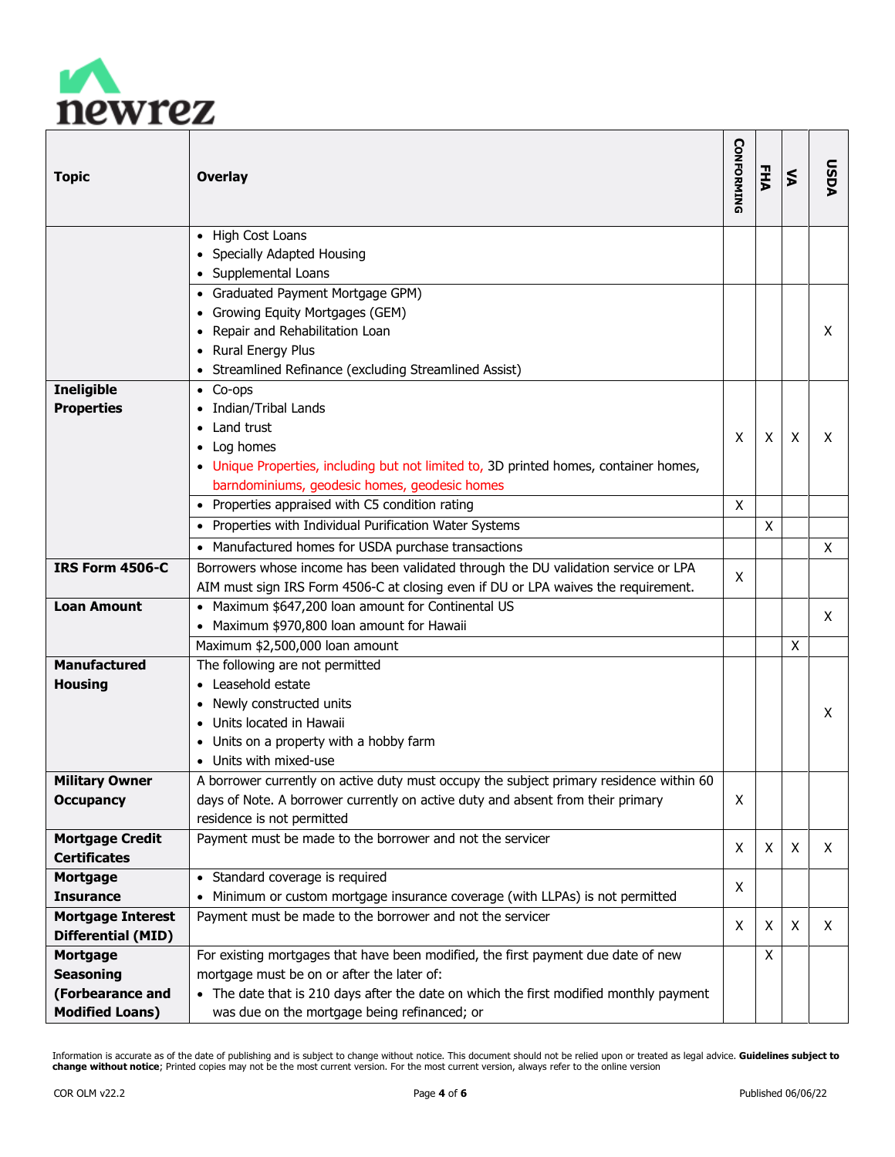

| <b>Topic</b>             | <b>Overlay</b>                                                                          | <b>CONFORMING</b> | EHA | ⋚ | NGSU |
|--------------------------|-----------------------------------------------------------------------------------------|-------------------|-----|---|------|
|                          | • High Cost Loans                                                                       |                   |     |   |      |
|                          | Specially Adapted Housing                                                               |                   |     |   |      |
|                          | • Supplemental Loans                                                                    |                   |     |   |      |
|                          | • Graduated Payment Mortgage GPM)                                                       |                   |     |   |      |
|                          | • Growing Equity Mortgages (GEM)                                                        |                   |     |   |      |
|                          | Repair and Rehabilitation Loan                                                          |                   |     |   | X    |
|                          | • Rural Energy Plus                                                                     |                   |     |   |      |
|                          | • Streamlined Refinance (excluding Streamlined Assist)                                  |                   |     |   |      |
| <b>Ineligible</b>        | $\bullet$ Co-ops                                                                        |                   |     |   |      |
| <b>Properties</b>        | Indian/Tribal Lands                                                                     |                   |     |   |      |
|                          | Land trust                                                                              | X                 | X   | X | X    |
|                          | • Log homes                                                                             |                   |     |   |      |
|                          | • Unique Properties, including but not limited to, 3D printed homes, container homes,   |                   |     |   |      |
|                          | barndominiums, geodesic homes, geodesic homes                                           |                   |     |   |      |
|                          | • Properties appraised with C5 condition rating                                         | $\pmb{\chi}$      |     |   |      |
|                          | • Properties with Individual Purification Water Systems                                 |                   | X   |   |      |
|                          | • Manufactured homes for USDA purchase transactions                                     |                   |     |   | X    |
| <b>IRS Form 4506-C</b>   | Borrowers whose income has been validated through the DU validation service or LPA      | X                 |     |   |      |
|                          | AIM must sign IRS Form 4506-C at closing even if DU or LPA waives the requirement.      |                   |     |   |      |
| <b>Loan Amount</b>       | • Maximum \$647,200 loan amount for Continental US                                      |                   |     |   | X    |
|                          | • Maximum \$970,800 loan amount for Hawaii                                              |                   |     |   |      |
|                          | Maximum \$2,500,000 loan amount                                                         |                   |     | X |      |
| <b>Manufactured</b>      | The following are not permitted                                                         |                   |     |   |      |
| <b>Housing</b>           | Leasehold estate                                                                        |                   |     |   |      |
|                          | Newly constructed units                                                                 |                   |     |   | X    |
|                          | Units located in Hawaii                                                                 |                   |     |   |      |
|                          | Units on a property with a hobby farm                                                   |                   |     |   |      |
|                          | Units with mixed-use                                                                    |                   |     |   |      |
| <b>Military Owner</b>    | A borrower currently on active duty must occupy the subject primary residence within 60 |                   |     |   |      |
| <b>Occupancy</b>         | days of Note. A borrower currently on active duty and absent from their primary         | x                 |     |   |      |
|                          | residence is not permitted                                                              |                   |     |   |      |
| <b>Mortgage Credit</b>   | Payment must be made to the borrower and not the servicer                               | X                 | X   | X | X    |
| <b>Certificates</b>      |                                                                                         |                   |     |   |      |
| <b>Mortgage</b>          | • Standard coverage is required                                                         | X                 |     |   |      |
| <b>Insurance</b>         | • Minimum or custom mortgage insurance coverage (with LLPAs) is not permitted           |                   |     |   |      |
| <b>Mortgage Interest</b> | Payment must be made to the borrower and not the servicer                               | X                 | X   | X | X    |
| Differential (MID)       |                                                                                         |                   |     |   |      |
| <b>Mortgage</b>          | For existing mortgages that have been modified, the first payment due date of new       |                   | X   |   |      |
| <b>Seasoning</b>         | mortgage must be on or after the later of:                                              |                   |     |   |      |
| (Forbearance and         | • The date that is 210 days after the date on which the first modified monthly payment  |                   |     |   |      |
| <b>Modified Loans)</b>   | was due on the mortgage being refinanced; or                                            |                   |     |   |      |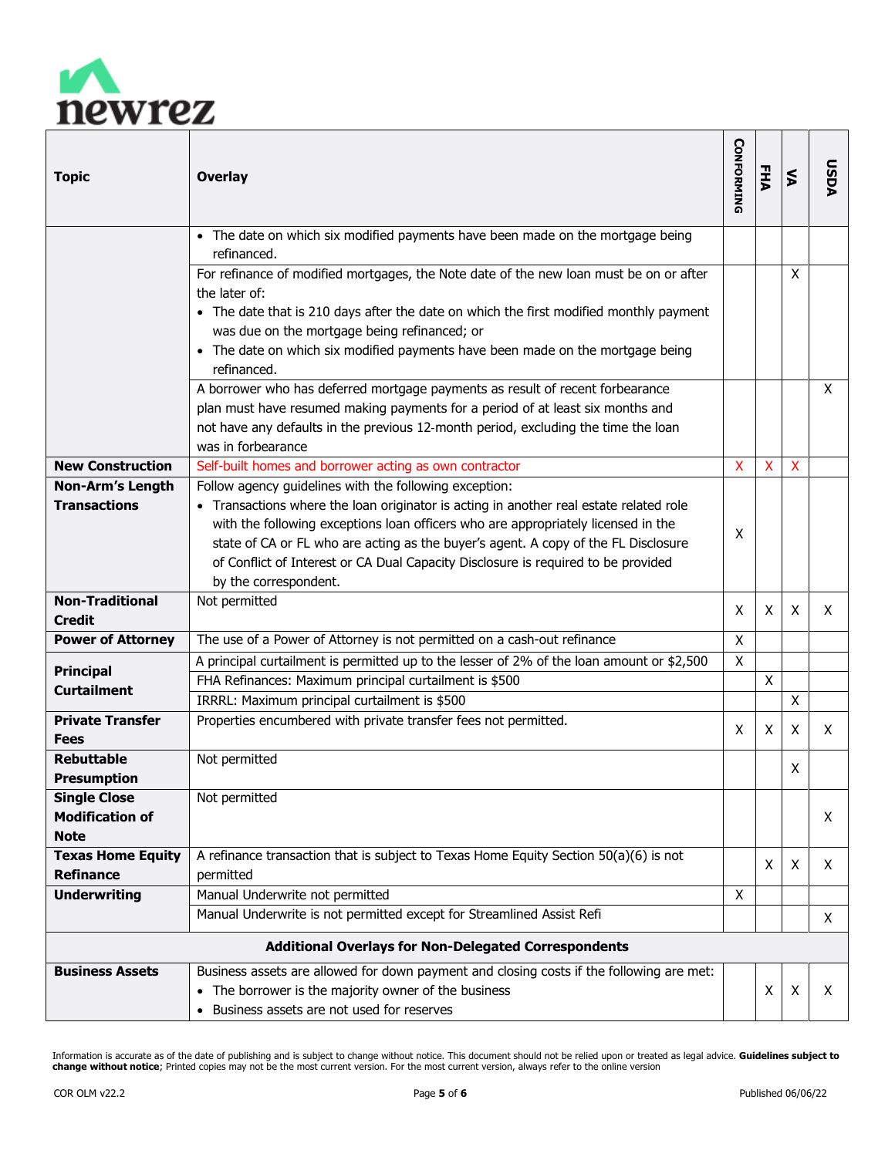

| <b>Topic</b>                                                 | <b>Overlay</b>                                                                                                                                                                                                                                                                                                                                                                                                                            | <b>CONFORMING</b>         | EHA          | ⋚                         | DSDA |
|--------------------------------------------------------------|-------------------------------------------------------------------------------------------------------------------------------------------------------------------------------------------------------------------------------------------------------------------------------------------------------------------------------------------------------------------------------------------------------------------------------------------|---------------------------|--------------|---------------------------|------|
|                                                              | • The date on which six modified payments have been made on the mortgage being<br>refinanced.                                                                                                                                                                                                                                                                                                                                             |                           |              |                           |      |
|                                                              | For refinance of modified mortgages, the Note date of the new loan must be on or after<br>the later of:<br>• The date that is 210 days after the date on which the first modified monthly payment<br>was due on the mortgage being refinanced; or<br>• The date on which six modified payments have been made on the mortgage being<br>refinanced.                                                                                        |                           |              | X                         |      |
|                                                              | A borrower who has deferred mortgage payments as result of recent forbearance<br>plan must have resumed making payments for a period of at least six months and<br>not have any defaults in the previous 12-month period, excluding the time the loan<br>was in forbearance                                                                                                                                                               |                           |              |                           | X    |
| <b>New Construction</b>                                      | Self-built homes and borrower acting as own contractor                                                                                                                                                                                                                                                                                                                                                                                    | $\boldsymbol{\mathsf{x}}$ | $\mathsf{X}$ | $\boldsymbol{\mathsf{X}}$ |      |
| Non-Arm's Length<br><b>Transactions</b>                      | Follow agency guidelines with the following exception:<br>• Transactions where the loan originator is acting in another real estate related role<br>with the following exceptions loan officers who are appropriately licensed in the<br>state of CA or FL who are acting as the buyer's agent. A copy of the FL Disclosure<br>of Conflict of Interest or CA Dual Capacity Disclosure is required to be provided<br>by the correspondent. | X                         |              |                           |      |
| <b>Non-Traditional</b><br>Credit                             | Not permitted                                                                                                                                                                                                                                                                                                                                                                                                                             | X                         | X            | X                         | X    |
| <b>Power of Attorney</b>                                     | The use of a Power of Attorney is not permitted on a cash-out refinance                                                                                                                                                                                                                                                                                                                                                                   | X                         |              |                           |      |
|                                                              | A principal curtailment is permitted up to the lesser of 2% of the loan amount or \$2,500                                                                                                                                                                                                                                                                                                                                                 | X                         |              |                           |      |
| <b>Principal</b>                                             | FHA Refinances: Maximum principal curtailment is \$500                                                                                                                                                                                                                                                                                                                                                                                    |                           | X            |                           |      |
| <b>Curtailment</b>                                           | IRRRL: Maximum principal curtailment is \$500                                                                                                                                                                                                                                                                                                                                                                                             |                           |              | X                         |      |
| <b>Private Transfer</b><br><b>Fees</b>                       | Properties encumbered with private transfer fees not permitted.                                                                                                                                                                                                                                                                                                                                                                           | X                         | X            | X                         | X    |
| <b>Rebuttable</b><br><b>Presumption</b>                      | Not permitted                                                                                                                                                                                                                                                                                                                                                                                                                             |                           |              | X                         |      |
| <b>Single Close</b><br><b>Modification of</b><br><b>Note</b> | Not permitted                                                                                                                                                                                                                                                                                                                                                                                                                             |                           |              |                           | X    |
| <b>Texas Home Equity</b>                                     | A refinance transaction that is subject to Texas Home Equity Section 50(a)(6) is not                                                                                                                                                                                                                                                                                                                                                      |                           | X            | X                         | X    |
| <b>Refinance</b>                                             | permitted                                                                                                                                                                                                                                                                                                                                                                                                                                 |                           |              |                           |      |
| <b>Underwriting</b>                                          | Manual Underwrite not permitted<br>Manual Underwrite is not permitted except for Streamlined Assist Refi                                                                                                                                                                                                                                                                                                                                  | X                         |              |                           | X    |
| <b>Additional Overlays for Non-Delegated Correspondents</b>  |                                                                                                                                                                                                                                                                                                                                                                                                                                           |                           |              |                           |      |
| <b>Business Assets</b>                                       | Business assets are allowed for down payment and closing costs if the following are met:                                                                                                                                                                                                                                                                                                                                                  |                           |              |                           |      |
|                                                              | • The borrower is the majority owner of the business<br>• Business assets are not used for reserves                                                                                                                                                                                                                                                                                                                                       |                           | X            | X                         | X    |